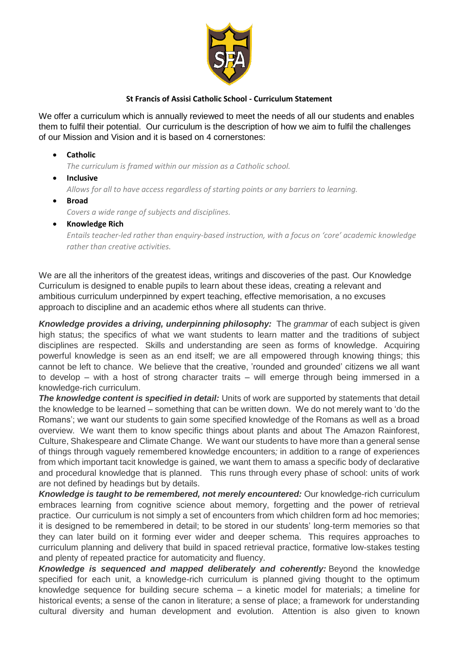

# **St Francis of Assisi Catholic School - Curriculum Statement**

We offer a curriculum which is annually reviewed to meet the needs of all our students and enables them to fulfil their potential. Our curriculum is the description of how we aim to fulfil the challenges of our Mission and Vision and it is based on 4 cornerstones:

• **Catholic**

*The curriculum is framed within our mission as a Catholic school.*

- **Inclusive** *Allows for all to have access regardless of starting points or any barriers to learning.*
- **Broad** *Covers a wide range of subjects and disciplines.*
- **Knowledge Rich**

*Entails teacher-led rather than enquiry-based instruction, with a focus on 'core' academic knowledge rather than creative activities.*

We are all the inheritors of the greatest ideas, writings and discoveries of the past. Our Knowledge Curriculum is designed to enable pupils to learn about these ideas, creating a relevant and ambitious curriculum underpinned by expert teaching, effective memorisation, a no excuses approach to discipline and an academic ethos where all students can thrive.

*Knowledge provides a driving, underpinning philosophy:* The *grammar* of each subject is given high status; the specifics of what we want students to learn matter and the traditions of subject disciplines are respected. Skills and understanding are seen as forms of knowledge. Acquiring powerful knowledge is seen as an end itself; we are all empowered through knowing things; this cannot be left to chance. We believe that the creative, 'rounded and grounded' citizens we all want to develop – with a host of strong character traits – will emerge through being immersed in a knowledge-rich curriculum.

*The knowledge content is specified in detail:* Units of work are supported by statements that detail the knowledge to be learned – something that can be written down. We do not merely want to 'do the Romans'; we want our students to gain some specified knowledge of the Romans as well as a broad overview. We want them to know specific things about plants and about The Amazon Rainforest, Culture, Shakespeare and Climate Change. We want our students to have more than a general sense of things through vaguely remembered knowledge encounters*;* in addition to a range of experiences from which important tacit knowledge is gained, we want them to amass a specific body of declarative and procedural knowledge that is planned. This runs through every phase of school: units of work are not defined by headings but by details.

*Knowledge is taught to be remembered, not merely encountered:* Our knowledge-rich curriculum embraces learning from cognitive science about memory, forgetting and the power of retrieval practice. Our curriculum is not simply a set of encounters from which children form ad hoc memories; it is designed to be remembered in detail; to be stored in our students' long-term memories so that they can later build on it forming ever wider and deeper schema. This requires approaches to curriculum planning and delivery that build in spaced retrieval practice, formative low-stakes testing and plenty of repeated practice for automaticity and fluency.

*Knowledge is sequenced and mapped deliberately and coherently:* Beyond the knowledge specified for each unit, a knowledge-rich curriculum is planned giving thought to the optimum knowledge sequence for building secure schema – a kinetic model for materials; a timeline for historical events; a sense of the canon in literature; a sense of place; a framework for understanding cultural diversity and human development and evolution. Attention is also given to known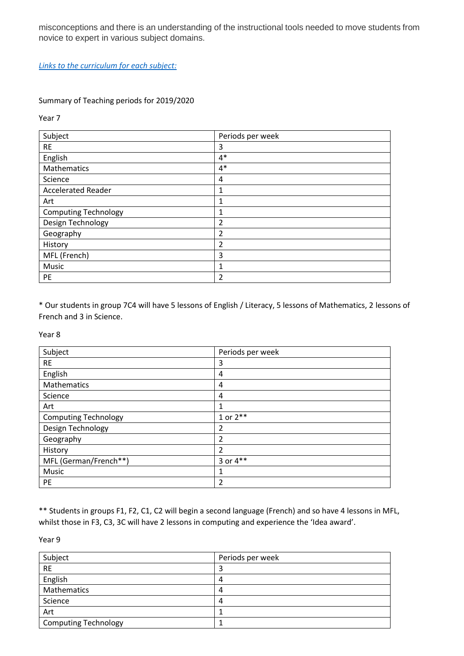misconceptions and there is an understanding of the instructional tools needed to move students from novice to expert in various subject domains.

*[Links to the curriculum for each subject:](http://www.stfrancis.cc/departments-of-education/)*

### Summary of Teaching periods for 2019/2020

Year 7

| Subject                     | Periods per week |
|-----------------------------|------------------|
| <b>RE</b>                   | 3                |
| English                     | $4*$             |
| Mathematics                 | $4*$             |
| Science                     | 4                |
| <b>Accelerated Reader</b>   | 1                |
| Art                         | 1                |
| <b>Computing Technology</b> | 1                |
| Design Technology           | 2                |
| Geography                   | 2                |
| History                     | $\overline{2}$   |
| MFL (French)                | 3                |
| Music                       | 1                |
| PE                          | 2                |

\* Our students in group 7C4 will have 5 lessons of English / Literacy, 5 lessons of Mathematics, 2 lessons of French and 3 in Science.

Year 8

| Subject                     | Periods per week |
|-----------------------------|------------------|
| <b>RE</b>                   | 3                |
| English                     | 4                |
| Mathematics                 | 4                |
| Science                     | 4                |
| Art                         | 1                |
| <b>Computing Technology</b> | 1 or $2***$      |
| Design Technology           | 2                |
| Geography                   | $\overline{2}$   |
| History                     | $\overline{2}$   |
| MFL (German/French**)       | 3 or $4**$       |
| Music                       | 1                |
| PE                          | $\overline{c}$   |

\*\* Students in groups F1, F2, C1, C2 will begin a second language (French) and so have 4 lessons in MFL, whilst those in F3, C3, 3C will have 2 lessons in computing and experience the 'Idea award'.

Year 9

| Subject                     | Periods per week |
|-----------------------------|------------------|
| <b>RE</b>                   | J                |
| English                     | 4                |
| Mathematics                 | 4                |
| Science                     | 4                |
| Art                         |                  |
| <b>Computing Technology</b> |                  |